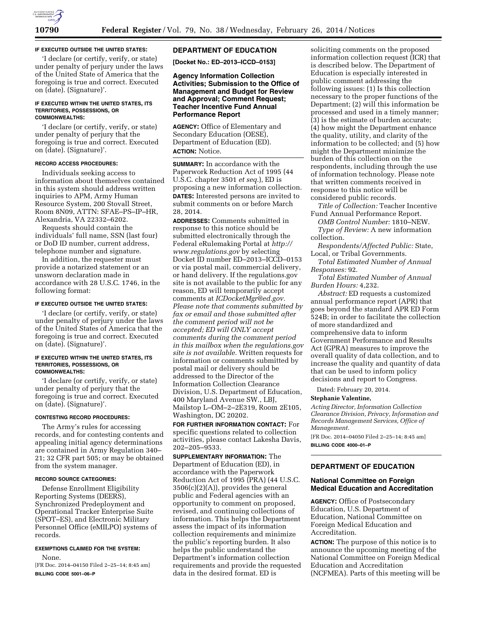

## **IF EXECUTED OUTSIDE THE UNITED STATES:**

'I declare (or certify, verify, or state) under penalty of perjury under the laws of the United State of America that the foregoing is true and correct. Executed on (date). (Signature)'.

#### **IF EXECUTED WITHIN THE UNITED STATES, ITS TERRITORIES, POSSESSIONS, OR COMMONWEALTHS:**

'I declare (or certify, verify, or state) under penalty of perjury that the foregoing is true and correct. Executed on (date). (Signature)'.

## **RECORD ACCESS PROCEDURES:**

Individuals seeking access to information about themselves contained in this system should address written inquiries to APM, Army Human Resource System, 200 Stovall Street, Room 8N09, ATTN: SFAE–PS–IP–HR, Alexandria, VA 22332–6202.

Requests should contain the individuals' full name, SSN (last four) or DoD ID number, current address, telephone number and signature.

In addition, the requester must provide a notarized statement or an unsworn declaration made in accordance with 28 U.S.C. 1746, in the following format:

### **IF EXECUTED OUTSIDE THE UNITED STATES:**

'I declare (or certify, verify, or state) under penalty of perjury under the laws of the United States of America that the foregoing is true and correct. Executed on (date). (Signature)'.

#### **IF EXECUTED WITHIN THE UNITED STATES, ITS TERRITORIES, POSSESSIONS, OR COMMONWEALTHS:**

'I declare (or certify, verify, or state) under penalty of perjury that the foregoing is true and correct. Executed on (date). (Signature)'.

#### **CONTESTING RECORD PROCEDURES:**

The Army's rules for accessing records, and for contesting contents and appealing initial agency determinations are contained in Army Regulation 340– 21; 32 CFR part 505; or may be obtained from the system manager.

### **RECORD SOURCE CATEGORIES:**

Defense Enrollment Eligibility Reporting Systems (DEERS), Synchronized Predeployment and Operational Tracker Enterprise Suite (SPOT–ES), and Electronic Military Personnel Office (eMILPO) systems of records.

## **EXEMPTIONS CLAIMED FOR THE SYSTEM:**

None. [FR Doc. 2014–04150 Filed 2–25–14; 8:45 am] **BILLING CODE 5001–06–P** 

## **DEPARTMENT OF EDUCATION**

**[Docket No.: ED–2013–ICCD–0153]** 

### **Agency Information Collection Activities; Submission to the Office of Management and Budget for Review and Approval; Comment Request; Teacher Incentive Fund Annual Performance Report**

**AGENCY:** Office of Elementary and Secondary Education (OESE), Department of Education (ED). **ACTION:** Notice.

**SUMMARY:** In accordance with the Paperwork Reduction Act of 1995 (44 U.S.C. chapter 3501 *et seq.*), ED is proposing a new information collection. **DATES:** Interested persons are invited to submit comments on or before March 28, 2014.

**ADDRESSES:** Comments submitted in response to this notice should be submitted electronically through the Federal eRulemaking Portal at *[http://](http://www.regulations.gov) [www.regulations.gov](http://www.regulations.gov)* by selecting Docket ID number ED–2013–ICCD–0153 or via postal mail, commercial delivery, or hand delivery. If the regulations.gov site is not available to the public for any reason, ED will temporarily accept comments at *[ICDocketMgr@ed.gov.](mailto:ICDocketMgr@ed.gov) Please note that comments submitted by fax or email and those submitted after the comment period will not be accepted; ED will ONLY accept comments during the comment period in this mailbox when the regulations.gov site is not available.* Written requests for information or comments submitted by postal mail or delivery should be addressed to the Director of the Information Collection Clearance Division, U.S. Department of Education, 400 Maryland Avenue SW., LBJ, Mailstop L–OM–2–2E319, Room 2E105, Washington, DC 20202.

**FOR FURTHER INFORMATION CONTACT:** For specific questions related to collection activities, please contact Lakesha Davis, 202–205–9533.

**SUPPLEMENTARY INFORMATION:** The Department of Education (ED), in accordance with the Paperwork Reduction Act of 1995 (PRA) (44 U.S.C. 3506(c)(2)(A)), provides the general public and Federal agencies with an opportunity to comment on proposed, revised, and continuing collections of information. This helps the Department assess the impact of its information collection requirements and minimize the public's reporting burden. It also helps the public understand the Department's information collection requirements and provide the requested data in the desired format. ED is

soliciting comments on the proposed information collection request (ICR) that is described below. The Department of Education is especially interested in public comment addressing the following issues: (1) Is this collection necessary to the proper functions of the Department; (2) will this information be processed and used in a timely manner; (3) is the estimate of burden accurate; (4) how might the Department enhance the quality, utility, and clarity of the information to be collected; and (5) how might the Department minimize the burden of this collection on the respondents, including through the use of information technology. Please note that written comments received in response to this notice will be considered public records.

*Title of Collection:* Teacher Incentive Fund Annual Performance Report.

*OMB Control Number:* 1810–NEW.

*Type of Review:* A new information collection.

*Respondents/Affected Public:* State, Local, or Tribal Governments.

*Total Estimated Number of Annual Responses:* 92.

*Total Estimated Number of Annual Burden Hours:* 4,232.

*Abstract:* ED requests a customized annual performance report (APR) that goes beyond the standard APR ED Form 524B; in order to facilitate the collection of more standardized and comprehensive data to inform Government Performance and Results Act (GPRA) measures to improve the overall quality of data collection, and to increase the quality and quantity of data that can be used to inform policy decisions and report to Congress.

Dated: February 20, 2014.

#### **Stephanie Valentine,**

*Acting Director, Information Collection Clearance Division, Privacy, Information and Records Management Services, Office of Management.* 

[FR Doc. 2014–04050 Filed 2–25–14; 8:45 am] **BILLING CODE 4000–01–P** 

## **DEPARTMENT OF EDUCATION**

### **National Committee on Foreign Medical Education and Accreditation**

**AGENCY:** Office of Postsecondary Education, U.S. Department of Education, National Committee on Foreign Medical Education and Accreditation.

**ACTION:** The purpose of this notice is to announce the upcoming meeting of the National Committee on Foreign Medical Education and Accreditation (NCFMEA). Parts of this meeting will be